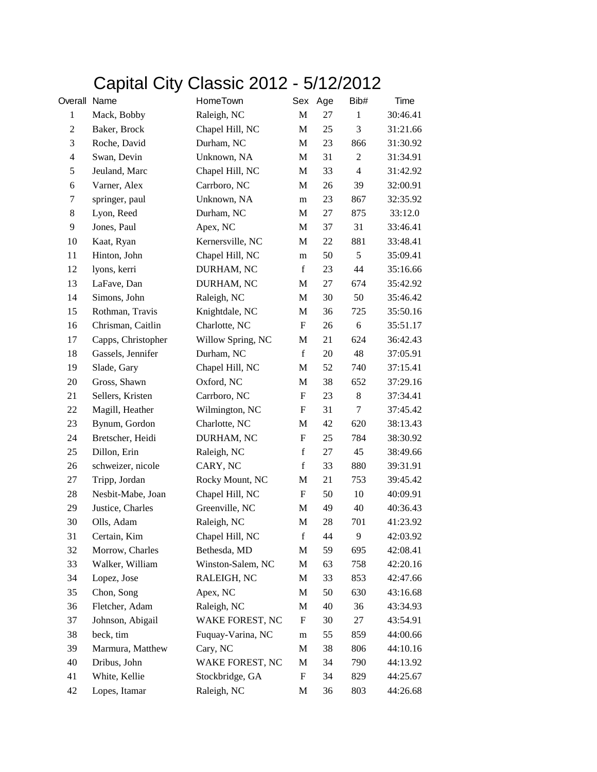## Capital City Classic 2012 - 5/12/2012

| Overall Name   |                    | HomeTown          | Sex                       | Age | Bib#             | Time     |
|----------------|--------------------|-------------------|---------------------------|-----|------------------|----------|
| $\mathbf{1}$   | Mack, Bobby        | Raleigh, NC       | M                         | 27  | $\mathbf{1}$     | 30:46.41 |
| $\overline{c}$ | Baker, Brock       | Chapel Hill, NC   | M                         | 25  | 3                | 31:21.66 |
| 3              | Roche, David       | Durham, NC        | M                         | 23  | 866              | 31:30.92 |
| $\overline{4}$ | Swan, Devin        | Unknown, NA       | M                         | 31  | $\boldsymbol{2}$ | 31:34.91 |
| 5              | Jeuland, Marc      | Chapel Hill, NC   | M                         | 33  | $\overline{4}$   | 31:42.92 |
| 6              | Varner, Alex       | Carrboro, NC      | M                         | 26  | 39               | 32:00.91 |
| 7              | springer, paul     | Unknown, NA       | m                         | 23  | 867              | 32:35.92 |
| 8              | Lyon, Reed         | Durham, NC        | M                         | 27  | 875              | 33:12.0  |
| 9              | Jones, Paul        | Apex, NC          | M                         | 37  | 31               | 33:46.41 |
| 10             | Kaat, Ryan         | Kernersville, NC  | M                         | 22  | 881              | 33:48.41 |
| 11             | Hinton, John       | Chapel Hill, NC   | m                         | 50  | 5                | 35:09.41 |
| 12             | lyons, kerri       | DURHAM, NC        | $\mathbf f$               | 23  | 44               | 35:16.66 |
| 13             | LaFave, Dan        | DURHAM, NC        | M                         | 27  | 674              | 35:42.92 |
| 14             | Simons, John       | Raleigh, NC       | M                         | 30  | 50               | 35:46.42 |
| 15             | Rothman, Travis    | Knightdale, NC    | M                         | 36  | 725              | 35:50.16 |
| 16             | Chrisman, Caitlin  | Charlotte, NC     | F                         | 26  | 6                | 35:51.17 |
| 17             | Capps, Christopher | Willow Spring, NC | M                         | 21  | 624              | 36:42.43 |
| 18             | Gassels, Jennifer  | Durham, NC        | $\mathbf f$               | 20  | 48               | 37:05.91 |
| 19             | Slade, Gary        | Chapel Hill, NC   | M                         | 52  | 740              | 37:15.41 |
| 20             | Gross, Shawn       | Oxford, NC        | М                         | 38  | 652              | 37:29.16 |
| 21             | Sellers, Kristen   | Carrboro, NC      | F                         | 23  | 8                | 37:34.41 |
| 22             | Magill, Heather    | Wilmington, NC    | F                         | 31  | $\tau$           | 37:45.42 |
| 23             | Bynum, Gordon      | Charlotte, NC     | M                         | 42  | 620              | 38:13.43 |
| 24             | Bretscher, Heidi   | DURHAM, NC        | $\boldsymbol{\mathrm{F}}$ | 25  | 784              | 38:30.92 |
| 25             | Dillon, Erin       | Raleigh, NC       | $\mathbf f$               | 27  | 45               | 38:49.66 |
| 26             | schweizer, nicole  | CARY, NC          | $\mathbf f$               | 33  | 880              | 39:31.91 |
| 27             | Tripp, Jordan      | Rocky Mount, NC   | M                         | 21  | 753              | 39:45.42 |
| 28             | Nesbit-Mabe, Joan  | Chapel Hill, NC   | F                         | 50  | 10               | 40:09.91 |
| 29             | Justice, Charles   | Greenville, NC    | M                         | 49  | 40               | 40:36.43 |
| 30             | Olls, Adam         | Raleigh, NC       | M                         | 28  | 701              | 41:23.92 |
| 31             | Certain, Kim       | Chapel Hill, NC   | $\mathbf f$               | 44  | 9                | 42:03.92 |
| 32             | Morrow, Charles    | Bethesda, MD      | M                         | 59  | 695              | 42:08.41 |
| 33             | Walker, William    | Winston-Salem, NC | M                         | 63  | 758              | 42:20.16 |
| 34             | Lopez, Jose        | RALEIGH, NC       | M                         | 33  | 853              | 42:47.66 |
| 35             | Chon, Song         | Apex, NC          | M                         | 50  | 630              | 43:16.68 |
| 36             | Fletcher, Adam     | Raleigh, NC       | М                         | 40  | 36               | 43:34.93 |
| 37             | Johnson, Abigail   | WAKE FOREST, NC   | F                         | 30  | 27               | 43:54.91 |
| 38             | beck, tim          | Fuquay-Varina, NC | m                         | 55  | 859              | 44:00.66 |
| 39             | Marmura, Matthew   | Cary, NC          | M                         | 38  | 806              | 44:10.16 |
| 40             | Dribus, John       | WAKE FOREST, NC   | M                         | 34  | 790              | 44:13.92 |
| 41             | White, Kellie      | Stockbridge, GA   | F                         | 34  | 829              | 44:25.67 |
| 42             | Lopes, Itamar      | Raleigh, NC       | M                         | 36  | 803              | 44:26.68 |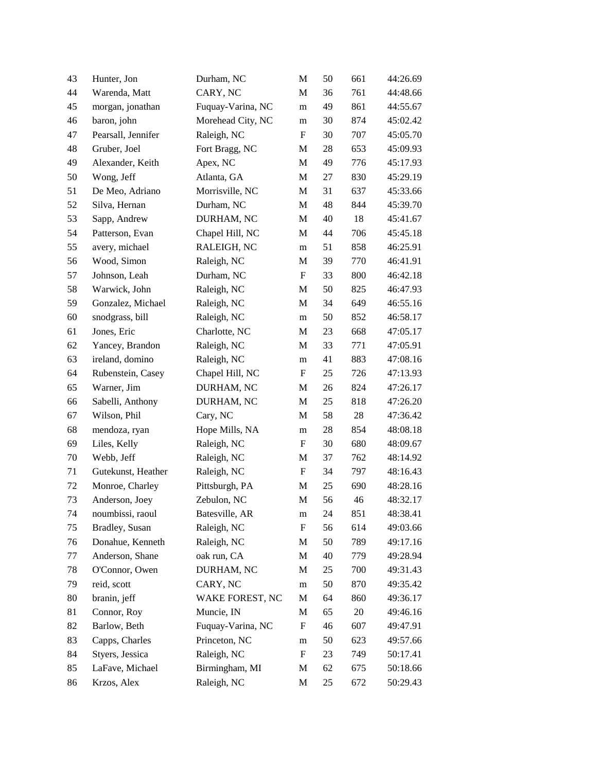| 43 | Hunter, Jon        | Durham, NC        | M                         | 50 | 661 | 44:26.69 |
|----|--------------------|-------------------|---------------------------|----|-----|----------|
| 44 | Warenda, Matt      | CARY, NC          | M                         | 36 | 761 | 44:48.66 |
| 45 | morgan, jonathan   | Fuquay-Varina, NC | m                         | 49 | 861 | 44:55.67 |
| 46 | baron, john        | Morehead City, NC | m                         | 30 | 874 | 45:02.42 |
| 47 | Pearsall, Jennifer | Raleigh, NC       | $\mathbf F$               | 30 | 707 | 45:05.70 |
| 48 | Gruber, Joel       | Fort Bragg, NC    | M                         | 28 | 653 | 45:09.93 |
| 49 | Alexander, Keith   | Apex, NC          | M                         | 49 | 776 | 45:17.93 |
| 50 | Wong, Jeff         | Atlanta, GA       | M                         | 27 | 830 | 45:29.19 |
| 51 | De Meo, Adriano    | Morrisville, NC   | M                         | 31 | 637 | 45:33.66 |
| 52 | Silva, Hernan      | Durham, NC        | $\mathbf M$               | 48 | 844 | 45:39.70 |
| 53 | Sapp, Andrew       | DURHAM, NC        | M                         | 40 | 18  | 45:41.67 |
| 54 | Patterson, Evan    | Chapel Hill, NC   | M                         | 44 | 706 | 45:45.18 |
| 55 | avery, michael     | RALEIGH, NC       | m                         | 51 | 858 | 46:25.91 |
| 56 | Wood, Simon        | Raleigh, NC       | M                         | 39 | 770 | 46:41.91 |
| 57 | Johnson, Leah      | Durham, NC        | $\mathbf F$               | 33 | 800 | 46:42.18 |
| 58 | Warwick, John      | Raleigh, NC       | M                         | 50 | 825 | 46:47.93 |
| 59 | Gonzalez, Michael  | Raleigh, NC       | M                         | 34 | 649 | 46:55.16 |
| 60 | snodgrass, bill    | Raleigh, NC       | m                         | 50 | 852 | 46:58.17 |
| 61 | Jones, Eric        | Charlotte, NC     | M                         | 23 | 668 | 47:05.17 |
| 62 | Yancey, Brandon    | Raleigh, NC       | M                         | 33 | 771 | 47:05.91 |
| 63 | ireland, domino    | Raleigh, NC       | m                         | 41 | 883 | 47:08.16 |
| 64 | Rubenstein, Casey  | Chapel Hill, NC   | F                         | 25 | 726 | 47:13.93 |
| 65 | Warner, Jim        | DURHAM, NC        | M                         | 26 | 824 | 47:26.17 |
| 66 | Sabelli, Anthony   | DURHAM, NC        | M                         | 25 | 818 | 47:26.20 |
| 67 | Wilson, Phil       | Cary, NC          | M                         | 58 | 28  | 47:36.42 |
| 68 | mendoza, ryan      | Hope Mills, NA    | m                         | 28 | 854 | 48:08.18 |
| 69 | Liles, Kelly       | Raleigh, NC       | F                         | 30 | 680 | 48:09.67 |
| 70 | Webb, Jeff         | Raleigh, NC       | M                         | 37 | 762 | 48:14.92 |
| 71 | Gutekunst, Heather | Raleigh, NC       | $\mathbf F$               | 34 | 797 | 48:16.43 |
| 72 | Monroe, Charley    | Pittsburgh, PA    | M                         | 25 | 690 | 48:28.16 |
| 73 | Anderson, Joey     | Zebulon, NC       | M                         | 56 | 46  | 48:32.17 |
| 74 | noumbissi, raoul   | Batesville, AR    | m                         | 24 | 851 | 48:38.41 |
| 75 | Bradley, Susan     | Raleigh, NC       | ${\rm F}$                 | 56 | 614 | 49:03.66 |
| 76 | Donahue, Kenneth   | Raleigh, NC       | M                         | 50 | 789 | 49:17.16 |
| 77 | Anderson, Shane    | oak run, CA       | M                         | 40 | 779 | 49:28.94 |
| 78 | O'Connor, Owen     | DURHAM, NC        | M                         | 25 | 700 | 49:31.43 |
| 79 | reid, scott        | CARY, NC          | m                         | 50 | 870 | 49:35.42 |
| 80 | branin, jeff       | WAKE FOREST, NC   | M                         | 64 | 860 | 49:36.17 |
| 81 | Connor, Roy        | Muncie, IN        | M                         | 65 | 20  | 49:46.16 |
| 82 | Barlow, Beth       | Fuquay-Varina, NC | $\boldsymbol{\mathrm{F}}$ | 46 | 607 | 49:47.91 |
| 83 | Capps, Charles     | Princeton, NC     | m                         | 50 | 623 | 49:57.66 |
| 84 | Styers, Jessica    | Raleigh, NC       | ${\rm F}$                 | 23 | 749 | 50:17.41 |
| 85 | LaFave, Michael    | Birmingham, MI    | M                         | 62 | 675 | 50:18.66 |
| 86 | Krzos, Alex        | Raleigh, NC       | M                         | 25 | 672 | 50:29.43 |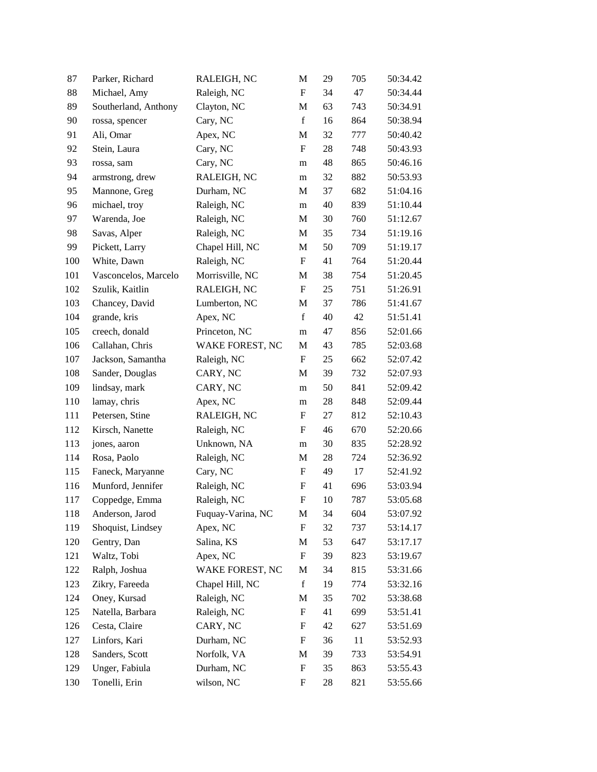| 87  | Parker, Richard      | RALEIGH, NC       | M                         | 29 | 705 | 50:34.42 |
|-----|----------------------|-------------------|---------------------------|----|-----|----------|
| 88  | Michael, Amy         | Raleigh, NC       | $\boldsymbol{\mathrm{F}}$ | 34 | 47  | 50:34.44 |
| 89  | Southerland, Anthony | Clayton, NC       | M                         | 63 | 743 | 50:34.91 |
| 90  | rossa, spencer       | Cary, NC          | $\mathbf f$               | 16 | 864 | 50:38.94 |
| 91  | Ali, Omar            | Apex, NC          | $\mathbf M$               | 32 | 777 | 50:40.42 |
| 92  | Stein, Laura         | Cary, NC          | $\mathbf F$               | 28 | 748 | 50:43.93 |
| 93  | rossa, sam           | Cary, NC          | m                         | 48 | 865 | 50:46.16 |
| 94  | armstrong, drew      | RALEIGH, NC       | m                         | 32 | 882 | 50:53.93 |
| 95  | Mannone, Greg        | Durham, NC        | M                         | 37 | 682 | 51:04.16 |
| 96  | michael, troy        | Raleigh, NC       | m                         | 40 | 839 | 51:10.44 |
| 97  | Warenda, Joe         | Raleigh, NC       | M                         | 30 | 760 | 51:12.67 |
| 98  | Savas, Alper         | Raleigh, NC       | M                         | 35 | 734 | 51:19.16 |
| 99  | Pickett, Larry       | Chapel Hill, NC   | M                         | 50 | 709 | 51:19.17 |
| 100 | White, Dawn          | Raleigh, NC       | F                         | 41 | 764 | 51:20.44 |
| 101 | Vasconcelos, Marcelo | Morrisville, NC   | $\mathbf M$               | 38 | 754 | 51:20.45 |
| 102 | Szulik, Kaitlin      | RALEIGH, NC       | $\mathbf F$               | 25 | 751 | 51:26.91 |
| 103 | Chancey, David       | Lumberton, NC     | M                         | 37 | 786 | 51:41.67 |
| 104 | grande, kris         | Apex, NC          | $\mathbf f$               | 40 | 42  | 51:51.41 |
| 105 | creech, donald       | Princeton, NC     | m                         | 47 | 856 | 52:01.66 |
| 106 | Callahan, Chris      | WAKE FOREST, NC   | M                         | 43 | 785 | 52:03.68 |
| 107 | Jackson, Samantha    | Raleigh, NC       | $\mathbf F$               | 25 | 662 | 52:07.42 |
| 108 | Sander, Douglas      | CARY, NC          | M                         | 39 | 732 | 52:07.93 |
| 109 | lindsay, mark        | CARY, NC          | m                         | 50 | 841 | 52:09.42 |
| 110 | lamay, chris         | Apex, NC          | m                         | 28 | 848 | 52:09.44 |
| 111 | Petersen, Stine      | RALEIGH, NC       | $\boldsymbol{\mathrm{F}}$ | 27 | 812 | 52:10.43 |
| 112 | Kirsch, Nanette      | Raleigh, NC       | F                         | 46 | 670 | 52:20.66 |
| 113 | jones, aaron         | Unknown, NA       | m                         | 30 | 835 | 52:28.92 |
| 114 | Rosa, Paolo          | Raleigh, NC       | M                         | 28 | 724 | 52:36.92 |
| 115 | Faneck, Maryanne     | Cary, NC          | $\boldsymbol{\mathrm{F}}$ | 49 | 17  | 52:41.92 |
| 116 | Munford, Jennifer    | Raleigh, NC       | $\boldsymbol{\mathrm{F}}$ | 41 | 696 | 53:03.94 |
| 117 | Coppedge, Emma       | Raleigh, NC       | $\boldsymbol{\mathrm{F}}$ | 10 | 787 | 53:05.68 |
| 118 | Anderson, Jarod      | Fuquay-Varina, NC | M                         | 34 | 604 | 53:07.92 |
| 119 | Shoquist, Lindsey    | Apex, NC          | $\boldsymbol{\mathrm{F}}$ | 32 | 737 | 53:14.17 |
| 120 | Gentry, Dan          | Salina, KS        | M                         | 53 | 647 | 53:17.17 |
| 121 | Waltz, Tobi          | Apex, NC          | $\boldsymbol{\mathrm{F}}$ | 39 | 823 | 53:19.67 |
| 122 | Ralph, Joshua        | WAKE FOREST, NC   | M                         | 34 | 815 | 53:31.66 |
| 123 | Zikry, Fareeda       | Chapel Hill, NC   | $\mathbf f$               | 19 | 774 | 53:32.16 |
| 124 | Oney, Kursad         | Raleigh, NC       | M                         | 35 | 702 | 53:38.68 |
| 125 | Natella, Barbara     | Raleigh, NC       | $\boldsymbol{\mathrm{F}}$ | 41 | 699 | 53:51.41 |
| 126 | Cesta, Claire        | CARY, NC          | $\boldsymbol{\mathrm{F}}$ | 42 | 627 | 53:51.69 |
| 127 | Linfors, Kari        | Durham, NC        | $\boldsymbol{\mathrm{F}}$ | 36 | 11  | 53:52.93 |
| 128 | Sanders, Scott       | Norfolk, VA       | M                         | 39 | 733 | 53:54.91 |
| 129 | Unger, Fabiula       | Durham, NC        | $\boldsymbol{\mathrm{F}}$ | 35 | 863 | 53:55.43 |
| 130 | Tonelli, Erin        | wilson, NC        | $\boldsymbol{\mathrm{F}}$ | 28 | 821 | 53:55.66 |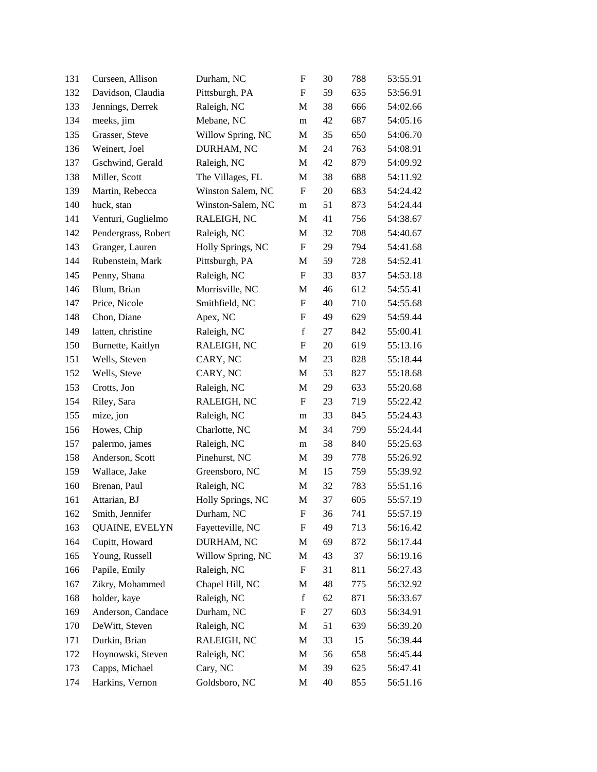| 131 | Curseen, Allison      | Durham, NC        | $\boldsymbol{\mathrm{F}}$ | 30 | 788 | 53:55.91 |
|-----|-----------------------|-------------------|---------------------------|----|-----|----------|
| 132 | Davidson, Claudia     | Pittsburgh, PA    | F                         | 59 | 635 | 53:56.91 |
| 133 | Jennings, Derrek      | Raleigh, NC       | M                         | 38 | 666 | 54:02.66 |
| 134 | meeks, jim            | Mebane, NC        | m                         | 42 | 687 | 54:05.16 |
| 135 | Grasser, Steve        | Willow Spring, NC | M                         | 35 | 650 | 54:06.70 |
| 136 | Weinert, Joel         | DURHAM, NC        | M                         | 24 | 763 | 54:08.91 |
| 137 | Gschwind, Gerald      | Raleigh, NC       | M                         | 42 | 879 | 54:09.92 |
| 138 | Miller, Scott         | The Villages, FL  | M                         | 38 | 688 | 54:11.92 |
| 139 | Martin, Rebecca       | Winston Salem, NC | F                         | 20 | 683 | 54:24.42 |
| 140 | huck, stan            | Winston-Salem, NC | m                         | 51 | 873 | 54:24.44 |
| 141 | Venturi, Guglielmo    | RALEIGH, NC       | M                         | 41 | 756 | 54:38.67 |
| 142 | Pendergrass, Robert   | Raleigh, NC       | M                         | 32 | 708 | 54:40.67 |
| 143 | Granger, Lauren       | Holly Springs, NC | $\boldsymbol{\mathrm{F}}$ | 29 | 794 | 54:41.68 |
| 144 | Rubenstein, Mark      | Pittsburgh, PA    | M                         | 59 | 728 | 54:52.41 |
| 145 | Penny, Shana          | Raleigh, NC       | F                         | 33 | 837 | 54:53.18 |
| 146 | Blum, Brian           | Morrisville, NC   | M                         | 46 | 612 | 54:55.41 |
| 147 | Price, Nicole         | Smithfield, NC    | F                         | 40 | 710 | 54:55.68 |
| 148 | Chon, Diane           | Apex, NC          | $\boldsymbol{\mathrm{F}}$ | 49 | 629 | 54:59.44 |
| 149 | latten, christine     | Raleigh, NC       | $\mathbf f$               | 27 | 842 | 55:00.41 |
| 150 | Burnette, Kaitlyn     | RALEIGH, NC       | F                         | 20 | 619 | 55:13.16 |
| 151 | Wells, Steven         | CARY, NC          | M                         | 23 | 828 | 55:18.44 |
| 152 | Wells, Steve          | CARY, NC          | M                         | 53 | 827 | 55:18.68 |
| 153 | Crotts, Jon           | Raleigh, NC       | M                         | 29 | 633 | 55:20.68 |
| 154 | Riley, Sara           | RALEIGH, NC       | $\boldsymbol{\mathrm{F}}$ | 23 | 719 | 55:22.42 |
| 155 | mize, jon             | Raleigh, NC       | m                         | 33 | 845 | 55:24.43 |
| 156 | Howes, Chip           | Charlotte, NC     | M                         | 34 | 799 | 55:24.44 |
| 157 | palermo, james        | Raleigh, NC       | m                         | 58 | 840 | 55:25.63 |
| 158 | Anderson, Scott       | Pinehurst, NC     | М                         | 39 | 778 | 55:26.92 |
| 159 | Wallace, Jake         | Greensboro, NC    | M                         | 15 | 759 | 55:39.92 |
| 160 | Brenan, Paul          | Raleigh, NC       | M                         | 32 | 783 | 55:51.16 |
| 161 | Attarian, BJ          | Holly Springs, NC | M                         | 37 | 605 | 55:57.19 |
| 162 | Smith, Jennifer       | Durham, NC        | F                         | 36 | 741 | 55:57.19 |
| 163 | <b>QUAINE, EVELYN</b> | Fayetteville, NC  | F                         | 49 | 713 | 56:16.42 |
| 164 | Cupitt, Howard        | DURHAM, NC        | M                         | 69 | 872 | 56:17.44 |
| 165 | Young, Russell        | Willow Spring, NC | M                         | 43 | 37  | 56:19.16 |
| 166 | Papile, Emily         | Raleigh, NC       | ${\rm F}$                 | 31 | 811 | 56:27.43 |
| 167 | Zikry, Mohammed       | Chapel Hill, NC   | M                         | 48 | 775 | 56:32.92 |
| 168 | holder, kaye          | Raleigh, NC       | $\mathbf f$               | 62 | 871 | 56:33.67 |
| 169 | Anderson, Candace     | Durham, NC        | ${\rm F}$                 | 27 | 603 | 56:34.91 |
| 170 | DeWitt, Steven        | Raleigh, NC       | M                         | 51 | 639 | 56:39.20 |
| 171 | Durkin, Brian         | RALEIGH, NC       | M                         | 33 | 15  | 56:39.44 |
| 172 | Hoynowski, Steven     | Raleigh, NC       | M                         | 56 | 658 | 56:45.44 |
| 173 | Capps, Michael        | Cary, NC          | M                         | 39 | 625 | 56:47.41 |
| 174 | Harkins, Vernon       | Goldsboro, NC     | M                         | 40 | 855 | 56:51.16 |
|     |                       |                   |                           |    |     |          |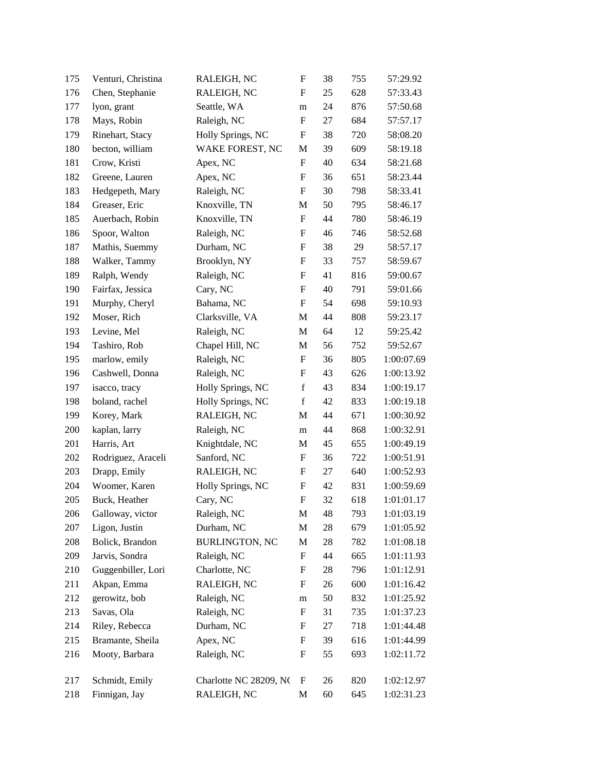| 175 | Venturi, Christina | RALEIGH, NC            | ${\bf F}$                 | 38     | 755 | 57:29.92   |
|-----|--------------------|------------------------|---------------------------|--------|-----|------------|
| 176 | Chen, Stephanie    | RALEIGH, NC            | F                         | 25     | 628 | 57:33.43   |
| 177 | lyon, grant        | Seattle, WA            | m                         | 24     | 876 | 57:50.68   |
| 178 | Mays, Robin        | Raleigh, NC            | $\boldsymbol{\mathrm{F}}$ | 27     | 684 | 57:57.17   |
| 179 | Rinehart, Stacy    | Holly Springs, NC      | F                         | 38     | 720 | 58:08.20   |
| 180 | becton, william    | WAKE FOREST, NC        | $\mathbf M$               | 39     | 609 | 58:19.18   |
| 181 | Crow, Kristi       | Apex, NC               | F                         | 40     | 634 | 58:21.68   |
| 182 | Greene, Lauren     | Apex, NC               | F                         | 36     | 651 | 58:23.44   |
| 183 | Hedgepeth, Mary    | Raleigh, NC            | $\boldsymbol{\mathrm{F}}$ | 30     | 798 | 58:33.41   |
| 184 | Greaser, Eric      | Knoxville, TN          | M                         | 50     | 795 | 58:46.17   |
| 185 | Auerbach, Robin    | Knoxville, TN          | $\boldsymbol{\mathrm{F}}$ | 44     | 780 | 58:46.19   |
| 186 | Spoor, Walton      | Raleigh, NC            | F                         | 46     | 746 | 58:52.68   |
| 187 | Mathis, Suemmy     | Durham, NC             | F                         | 38     | 29  | 58:57.17   |
| 188 | Walker, Tammy      | Brooklyn, NY           | $\boldsymbol{\mathrm{F}}$ | 33     | 757 | 58:59.67   |
| 189 | Ralph, Wendy       | Raleigh, NC            | $\boldsymbol{\mathrm{F}}$ | 41     | 816 | 59:00.67   |
| 190 | Fairfax, Jessica   | Cary, NC               | ${\bf F}$                 | 40     | 791 | 59:01.66   |
| 191 | Murphy, Cheryl     | Bahama, NC             | F                         | 54     | 698 | 59:10.93   |
| 192 | Moser, Rich        | Clarksville, VA        | M                         | 44     | 808 | 59:23.17   |
| 193 | Levine, Mel        | Raleigh, NC            | $\mathbf{M}$              | 64     | 12  | 59:25.42   |
| 194 | Tashiro, Rob       | Chapel Hill, NC        | M                         | 56     | 752 | 59:52.67   |
| 195 | marlow, emily      | Raleigh, NC            | $\boldsymbol{\mathrm{F}}$ | 36     | 805 | 1:00:07.69 |
| 196 | Cashwell, Donna    | Raleigh, NC            | F                         | 43     | 626 | 1:00:13.92 |
| 197 | isacco, tracy      | Holly Springs, NC      | $\mathbf f$               | 43     | 834 | 1:00:19.17 |
| 198 | boland, rachel     | Holly Springs, NC      | $\mathbf f$               | 42     | 833 | 1:00:19.18 |
| 199 | Korey, Mark        | RALEIGH, NC            | M                         | 44     | 671 | 1:00:30.92 |
| 200 | kaplan, larry      | Raleigh, NC            | ${\bf m}$                 | 44     | 868 | 1:00:32.91 |
| 201 | Harris, Art        | Knightdale, NC         | M                         | 45     | 655 | 1:00:49.19 |
| 202 | Rodriguez, Araceli | Sanford, NC            | ${\bf F}$                 | 36     | 722 | 1:00:51.91 |
| 203 | Drapp, Emily       | RALEIGH, NC            | $\boldsymbol{\mathrm{F}}$ | 27     | 640 | 1:00:52.93 |
| 204 | Woomer, Karen      | Holly Springs, NC      | F                         | 42     | 831 | 1:00:59.69 |
| 205 | Buck, Heather      | Cary, NC               | $\boldsymbol{\mathrm{F}}$ | 32     | 618 | 1:01:01.17 |
| 206 | Galloway, victor   | Raleigh, NC            | M                         | 48     | 793 | 1:01:03.19 |
| 207 | Ligon, Justin      | Durham, NC             | $\mathbf M$               | 28     | 679 | 1:01:05.92 |
| 208 | Bolick, Brandon    | <b>BURLINGTON, NC</b>  | M                         | 28     | 782 | 1:01:08.18 |
| 209 | Jarvis, Sondra     | Raleigh, NC            | F                         | 44     | 665 | 1:01:11.93 |
| 210 | Guggenbiller, Lori | Charlotte, NC          | F                         | $28\,$ | 796 | 1:01:12.91 |
| 211 | Akpan, Emma        | RALEIGH, NC            | F                         | 26     | 600 | 1:01:16.42 |
| 212 | gerowitz, bob      | Raleigh, NC            | m                         | 50     | 832 | 1:01:25.92 |
| 213 | Savas, Ola         | Raleigh, NC            | $\boldsymbol{\mathrm{F}}$ | 31     | 735 | 1:01:37.23 |
| 214 | Riley, Rebecca     | Durham, NC             | F                         | 27     | 718 | 1:01:44.48 |
| 215 | Bramante, Sheila   | Apex, NC               | F                         | 39     | 616 | 1:01:44.99 |
| 216 | Mooty, Barbara     | Raleigh, NC            | F                         | 55     | 693 | 1:02:11.72 |
| 217 | Schmidt, Emily     | Charlotte NC 28209, NC | $\boldsymbol{\mathrm{F}}$ | 26     | 820 | 1:02:12.97 |
| 218 | Finnigan, Jay      | RALEIGH, NC            | M                         | 60     | 645 | 1:02:31.23 |
|     |                    |                        |                           |        |     |            |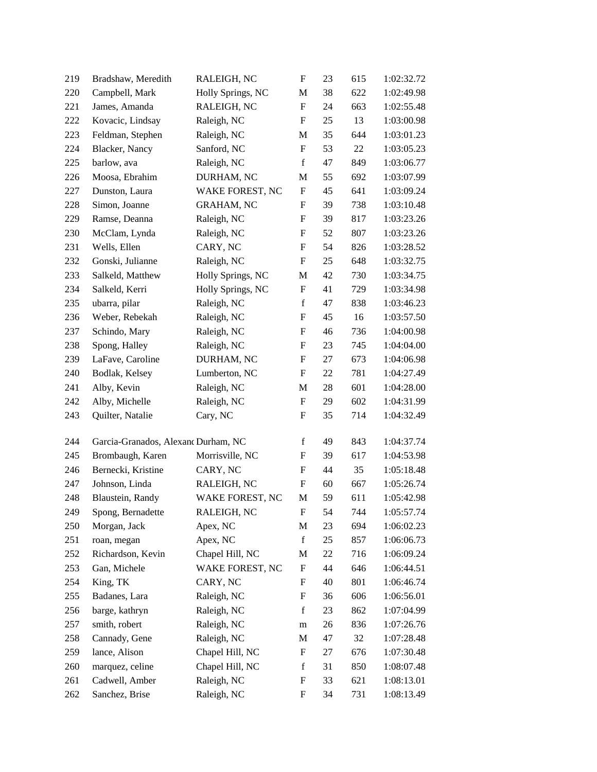| 219 | Bradshaw, Meredith                  | RALEIGH, NC       | $\boldsymbol{\mathrm{F}}$ | 23 | 615 | 1:02:32.72 |
|-----|-------------------------------------|-------------------|---------------------------|----|-----|------------|
| 220 | Campbell, Mark                      | Holly Springs, NC | M                         | 38 | 622 | 1:02:49.98 |
| 221 | James, Amanda                       | RALEIGH, NC       | $\boldsymbol{\mathrm{F}}$ | 24 | 663 | 1:02:55.48 |
| 222 | Kovacic, Lindsay                    | Raleigh, NC       | F                         | 25 | 13  | 1:03:00.98 |
| 223 | Feldman, Stephen                    | Raleigh, NC       | M                         | 35 | 644 | 1:03:01.23 |
| 224 | Blacker, Nancy                      | Sanford, NC       | $\mathbf F$               | 53 | 22  | 1:03:05.23 |
| 225 | barlow, ava                         | Raleigh, NC       | $\mathbf f$               | 47 | 849 | 1:03:06.77 |
| 226 | Moosa, Ebrahim                      | DURHAM, NC        | М                         | 55 | 692 | 1:03:07.99 |
| 227 | Dunston, Laura                      | WAKE FOREST, NC   | $\boldsymbol{\mathrm{F}}$ | 45 | 641 | 1:03:09.24 |
| 228 | Simon, Joanne                       | <b>GRAHAM, NC</b> | F                         | 39 | 738 | 1:03:10.48 |
| 229 | Ramse, Deanna                       | Raleigh, NC       | $\mathbf F$               | 39 | 817 | 1:03:23.26 |
| 230 | McClam, Lynda                       | Raleigh, NC       | F                         | 52 | 807 | 1:03:23.26 |
| 231 | Wells, Ellen                        | CARY, NC          | F                         | 54 | 826 | 1:03:28.52 |
| 232 | Gonski, Julianne                    | Raleigh, NC       | F                         | 25 | 648 | 1:03:32.75 |
| 233 | Salkeld, Matthew                    | Holly Springs, NC | M                         | 42 | 730 | 1:03:34.75 |
| 234 | Salkeld, Kerri                      | Holly Springs, NC | $\mathbf F$               | 41 | 729 | 1:03:34.98 |
| 235 | ubarra, pilar                       | Raleigh, NC       | f                         | 47 | 838 | 1:03:46.23 |
| 236 | Weber, Rebekah                      | Raleigh, NC       | F                         | 45 | 16  | 1:03:57.50 |
| 237 | Schindo, Mary                       | Raleigh, NC       | F                         | 46 | 736 | 1:04:00.98 |
| 238 | Spong, Halley                       | Raleigh, NC       | $\boldsymbol{\mathrm{F}}$ | 23 | 745 | 1:04:04.00 |
| 239 | LaFave, Caroline                    | DURHAM, NC        | F                         | 27 | 673 | 1:04:06.98 |
| 240 | Bodlak, Kelsey                      | Lumberton, NC     | F                         | 22 | 781 | 1:04:27.49 |
| 241 | Alby, Kevin                         | Raleigh, NC       | М                         | 28 | 601 | 1:04:28.00 |
| 242 | Alby, Michelle                      | Raleigh, NC       | $\mathbf F$               | 29 | 602 | 1:04:31.99 |
| 243 | Quilter, Natalie                    | Cary, NC          | $\boldsymbol{\mathrm{F}}$ | 35 | 714 | 1:04:32.49 |
| 244 | Garcia-Granados, Alexand Durham, NC |                   | $\mathbf f$               | 49 | 843 | 1:04:37.74 |
| 245 | Brombaugh, Karen                    | Morrisville, NC   | F                         | 39 | 617 | 1:04:53.98 |
| 246 | Bernecki, Kristine                  | CARY, NC          | $\mathbf F$               | 44 | 35  | 1:05:18.48 |
| 247 | Johnson, Linda                      | RALEIGH, NC       | F                         | 60 | 667 | 1:05:26.74 |
| 248 | Blaustein, Randy                    | WAKE FOREST, NC   | M                         | 59 | 611 | 1:05:42.98 |
| 249 | Spong, Bernadette                   | RALEIGH, NC       | ${\bf F}$                 | 54 | 744 | 1:05:57.74 |
| 250 | Morgan, Jack                        | Apex, NC          | M                         | 23 | 694 | 1:06:02.23 |
| 251 | roan, megan                         | Apex, NC          | $\mathbf f$               | 25 | 857 | 1:06:06.73 |
| 252 | Richardson, Kevin                   | Chapel Hill, NC   | M                         | 22 | 716 | 1:06:09.24 |
| 253 | Gan, Michele                        | WAKE FOREST, NC   | F                         | 44 | 646 | 1:06:44.51 |
| 254 | King, TK                            | CARY, NC          | F                         | 40 | 801 | 1:06:46.74 |
| 255 | Badanes, Lara                       | Raleigh, NC       | F                         | 36 | 606 | 1:06:56.01 |
| 256 | barge, kathryn                      | Raleigh, NC       | $\mathbf f$               | 23 | 862 | 1:07:04.99 |
| 257 | smith, robert                       | Raleigh, NC       | m                         | 26 | 836 | 1:07:26.76 |
| 258 | Cannady, Gene                       | Raleigh, NC       | М                         | 47 | 32  | 1:07:28.48 |
| 259 | lance, Alison                       | Chapel Hill, NC   | F                         | 27 | 676 | 1:07:30.48 |
| 260 | marquez, celine                     | Chapel Hill, NC   | $\mathbf f$               | 31 | 850 | 1:08:07.48 |
| 261 | Cadwell, Amber                      | Raleigh, NC       | F                         | 33 | 621 | 1:08:13.01 |
| 262 | Sanchez, Brise                      | Raleigh, NC       | F                         | 34 | 731 | 1:08:13.49 |